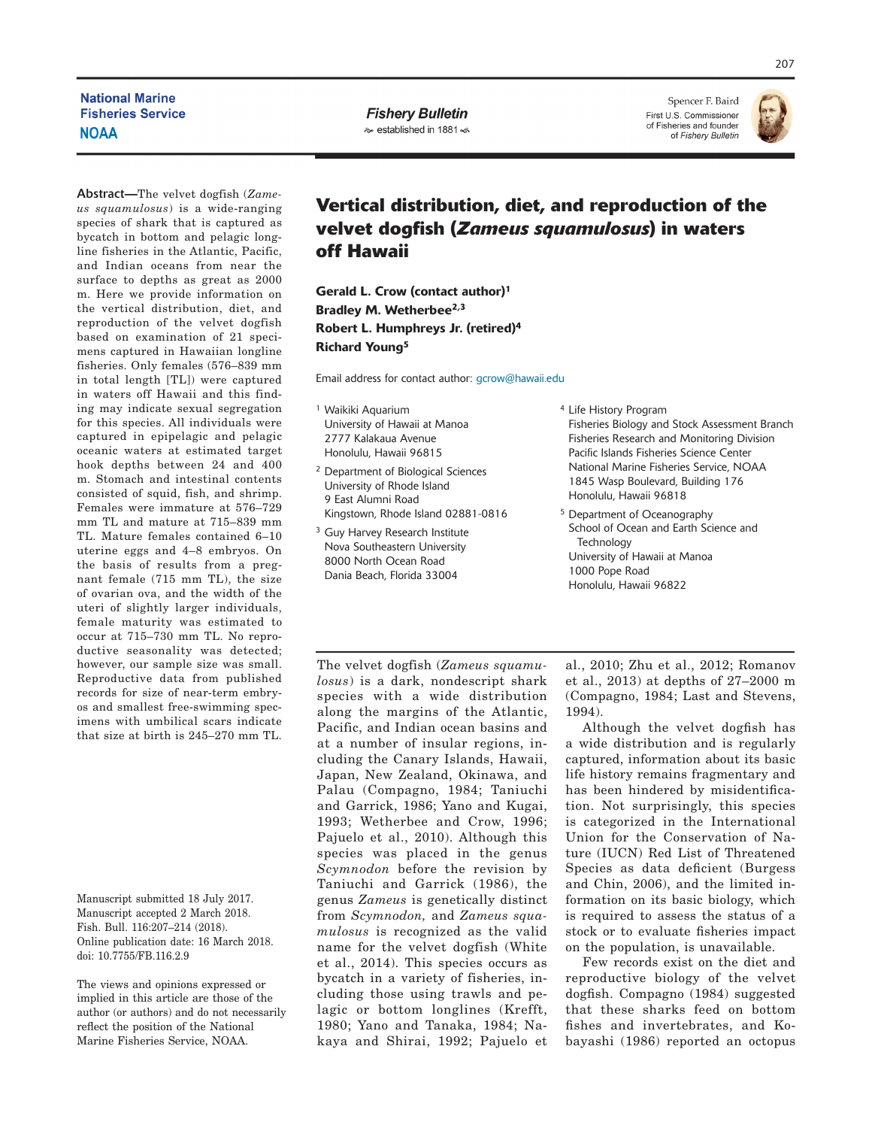## **National Marine Fisheries Service NOAA**

**Fishery Bulletin** lestablished in 1881 <

Spencer F. Baird First U.S. Commissioner of Fisheries and founder of Fishery Bulletin



Abstract**—**The velvet dogfish (*Zameus squamulosus*) is a wide-ranging species of shark that is captured as bycatch in bottom and pelagic longline fisheries in the Atlantic, Pacific, and Indian oceans from near the surface to depths as great as 2000 m. Here we provide information on the vertical distribution, diet, and reproduction of the velvet dogfish based on examination of 21 specimens captured in Hawaiian longline fisheries. Only females (576–839 mm in total length [TL]) were captured in waters off Hawaii and this finding may indicate sexual segregation for this species. All individuals were captured in epipelagic and pelagic oceanic waters at estimated target hook depths between 24 and 400 m. Stomach and intestinal contents consisted of squid, fish, and shrimp. Females were immature at 576–729 mm TL and mature at 715–839 mm TL. Mature females contained 6–10 uterine eggs and 4–8 embryos. On the basis of results from a pregnant female (715 mm TL), the size of ovarian ova, and the width of the uteri of slightly larger individuals, female maturity was estimated to occur at 715–730 mm TL. No reproductive seasonality was detected; however, our sample size was small. Reproductive data from published records for size of near-term embryos and smallest free-swimming specimens with umbilical scars indicate that size at birth is 245–270 mm TL.

Manuscript submitted 18 July 2017. Manuscript accepted 2 March 2018. Fish. Bull. 116:207–214 (2018). Online publication date: 16 March 2018. doi: 10.7755/FB.116.2.9

The views and opinions expressed or implied in this article are those of the author (or authors) and do not necessarily reflect the position of the National Marine Fisheries Service, NOAA.

# **Vertical distribution, diet, and reproduction of the velvet dogfish (***Zameus squamulosus***) in waters off Hawaii**

Gerald L. Crow (contact author)1 Bradley M. Wetherbee<sup>2,3</sup> Robert L. Humphreys Jr. (retired)4 Richard Young5

Email address for contact author: [gcrow@hawaii.edu](mailto:gcrow@hawaii.edu)

- <sup>1</sup> Waikiki Aquarium University of Hawaii at Manoa 2777 Kalakaua Avenue Honolulu, Hawaii 96815
- <sup>2</sup> Department of Biological Sciences University of Rhode Island 9 East Alumni Road Kingstown, Rhode Island 02881-0816
- <sup>3</sup> Guy Harvey Research Institute Nova Southeastern University 8000 North Ocean Road Dania Beach, Florida 33004
- <sup>4</sup> Life History Program Fisheries Biology and Stock Assessment Branch Fisheries Research and Monitoring Division Pacific Islands Fisheries Science Center National Marine Fisheries Service, NOAA 1845 Wasp Boulevard, Building 176 Honolulu, Hawaii 96818
- <sup>5</sup> Department of Oceanography School of Ocean and Earth Science and Technology University of Hawaii at Manoa 1000 Pope Road Honolulu, Hawaii 96822

The velvet dogfish (*Zameus squamulosus*) is a dark, nondescript shark species with a wide distribution along the margins of the Atlantic, Pacific, and Indian ocean basins and at a number of insular regions, including the Canary Islands, Hawaii, Japan, New Zealand, Okinawa, and Palau (Compagno, 1984; Taniuchi and Garrick, 1986; Yano and Kugai, 1993; Wetherbee and Crow, 1996; Pajuelo et al., 2010). Although this species was placed in the genus *Scymnodon* before the revision by Taniuchi and Garrick (1986), the genus *Zameus* is genetically distinct from *Scymnodon,* and *Zameus squamulosus* is recognized as the valid name for the velvet dogfish (White et al., 2014). This species occurs as bycatch in a variety of fisheries, including those using trawls and pelagic or bottom longlines (Krefft, 1980; Yano and Tanaka, 1984; Nakaya and Shirai, 1992; Pajuelo et

al., 2010; Zhu et al., 2012; Romanov et al., 2013) at depths of 27–2000 m (Compagno, 1984; Last and Stevens, 1994).

Although the velvet dogfish has a wide distribution and is regularly captured, information about its basic life history remains fragmentary and has been hindered by misidentification. Not surprisingly, this species is categorized in the International Union for the Conservation of Nature (IUCN) Red List of Threatened Species as data deficient (Burgess and Chin, 2006), and the limited information on its basic biology, which is required to assess the status of a stock or to evaluate fisheries impact on the population, is unavailable.

Few records exist on the diet and reproductive biology of the velvet dogfish. Compagno (1984) suggested that these sharks feed on bottom fishes and invertebrates, and Kobayashi (1986) reported an octopus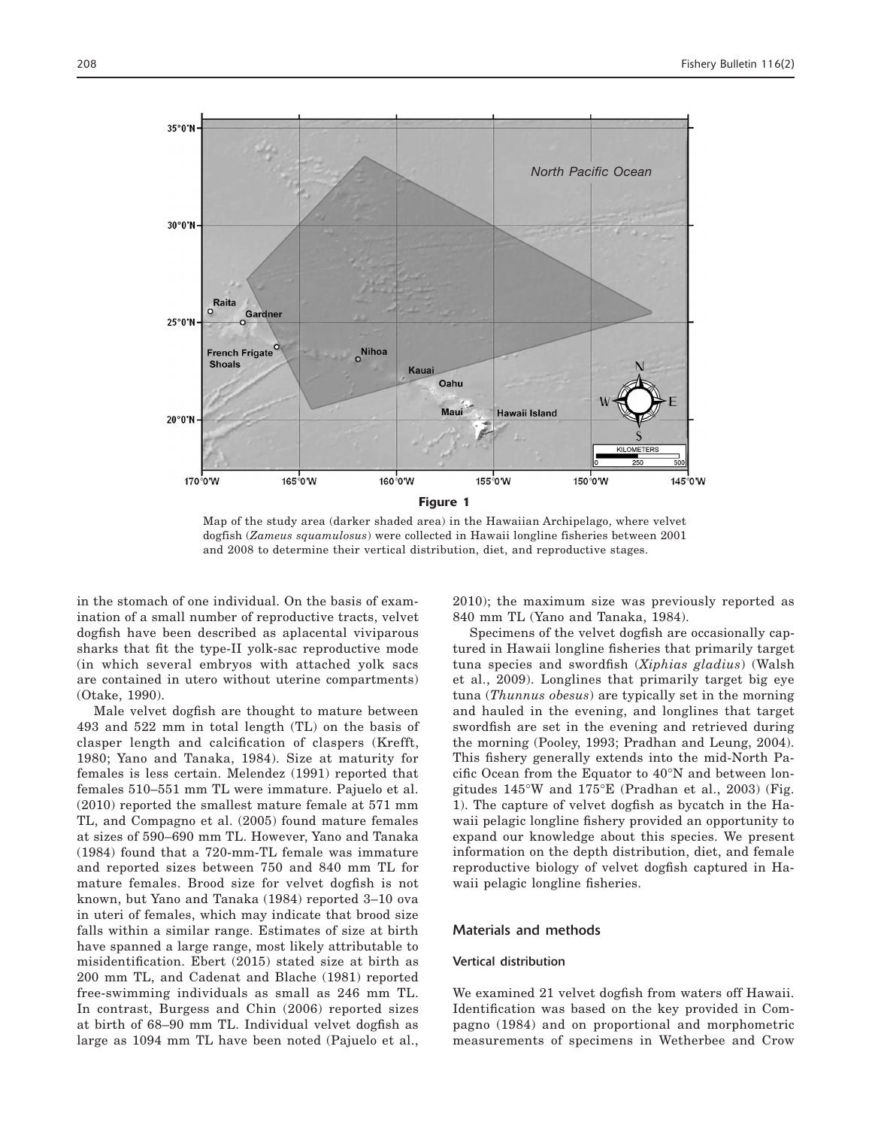

Map of the study area (darker shaded area) in the Hawaiian Archipelago, where velvet dogfish (*Zameus squamulosus*) were collected in Hawaii longline fisheries between 2001 and 2008 to determine their vertical distribution, diet, and reproductive stages.

in the stomach of one individual. On the basis of examination of a small number of reproductive tracts, velvet dogfish have been described as aplacental viviparous sharks that fit the type-II yolk-sac reproductive mode (in which several embryos with attached yolk sacs are contained in utero without uterine compartments) (Otake, 1990).

Male velvet dogfish are thought to mature between 493 and 522 mm in total length (TL) on the basis of clasper length and calcification of claspers (Krefft, 1980; Yano and Tanaka, 1984). Size at maturity for females is less certain. Melendez (1991) reported that females 510–551 mm TL were immature. Pajuelo et al. (2010) reported the smallest mature female at 571 mm TL, and Compagno et al. (2005) found mature females at sizes of 590–690 mm TL. However, Yano and Tanaka (1984) found that a 720-mm-TL female was immature and reported sizes between 750 and 840 mm TL for mature females. Brood size for velvet dogfish is not known, but Yano and Tanaka (1984) reported 3–10 ova in uteri of females, which may indicate that brood size falls within a similar range. Estimates of size at birth have spanned a large range, most likely attributable to misidentification. Ebert (2015) stated size at birth as 200 mm TL, and Cadenat and Blache (1981) reported free-swimming individuals as small as 246 mm TL. In contrast, Burgess and Chin (2006) reported sizes at birth of 68–90 mm TL. Individual velvet dogfish as large as 1094 mm TL have been noted (Pajuelo et al.,

2010); the maximum size was previously reported as 840 mm TL (Yano and Tanaka, 1984).

Specimens of the velvet dogfish are occasionally captured in Hawaii longline fisheries that primarily target tuna species and swordfish (*Xiphias gladius*) (Walsh et al., 2009). Longlines that primarily target big eye tuna (*Thunnus obesus*) are typically set in the morning and hauled in the evening, and longlines that target swordfish are set in the evening and retrieved during the morning (Pooley, 1993; Pradhan and Leung, 2004). This fishery generally extends into the mid-North Pacific Ocean from the Equator to 40°N and between longitudes 145°W and 175°E (Pradhan et al., 2003) (Fig. 1). The capture of velvet dogfish as bycatch in the Hawaii pelagic longline fishery provided an opportunity to expand our knowledge about this species. We present information on the depth distribution, diet, and female reproductive biology of velvet dogfish captured in Hawaii pelagic longline fisheries.

### Materials and methods

#### Vertical distribution

We examined 21 velvet dogfish from waters off Hawaii. Identification was based on the key provided in Compagno (1984) and on proportional and morphometric measurements of specimens in Wetherbee and Crow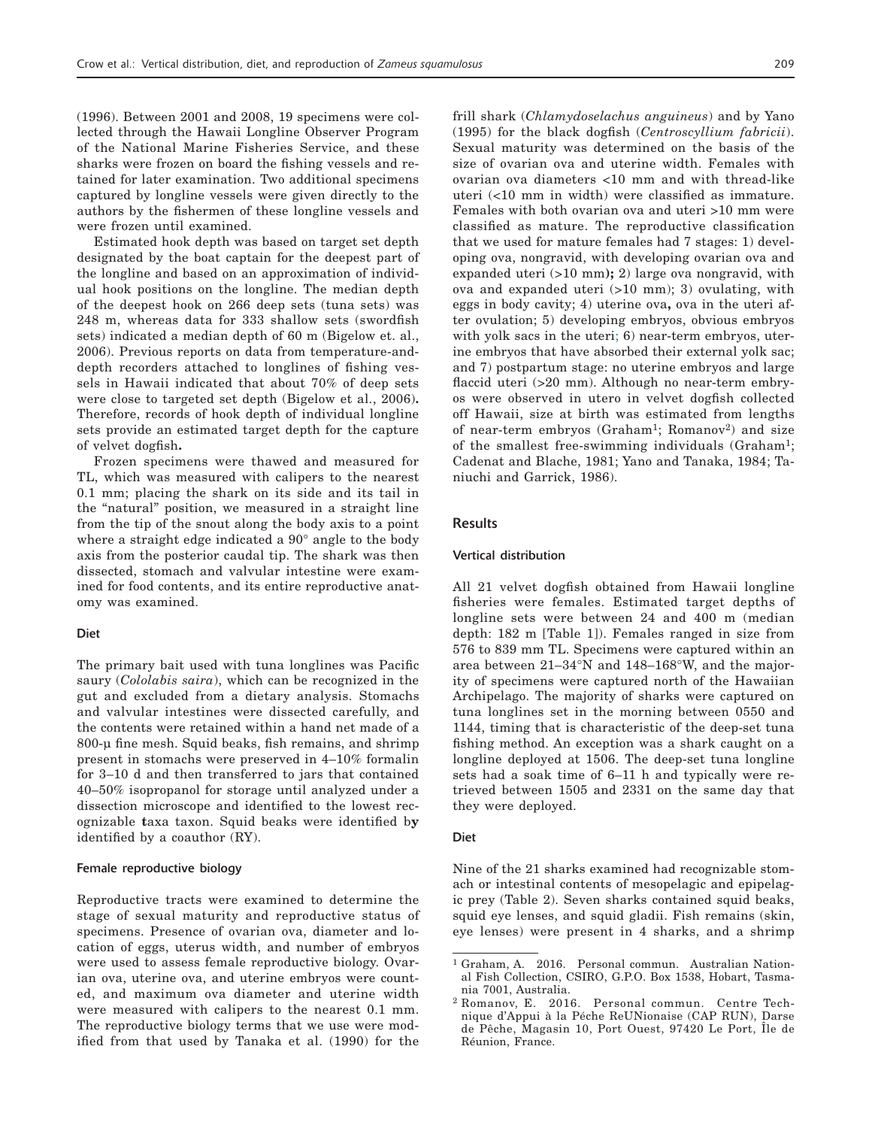(1996). Between 2001 and 2008, 19 specimens were collected through the Hawaii Longline Observer Program of the National Marine Fisheries Service, and these sharks were frozen on board the fishing vessels and retained for later examination. Two additional specimens captured by longline vessels were given directly to the authors by the fishermen of these longline vessels and were frozen until examined.

Estimated hook depth was based on target set depth designated by the boat captain for the deepest part of the longline and based on an approximation of individual hook positions on the longline. The median depth of the deepest hook on 266 deep sets (tuna sets) was 248 m, whereas data for 333 shallow sets (swordfish sets) indicated a median depth of 60 m (Bigelow et. al., 2006). Previous reports on data from temperature-anddepth recorders attached to longlines of fishing vessels in Hawaii indicated that about 70% of deep sets were close to targeted set depth (Bigelow et al., 2006)**.**  Therefore, records of hook depth of individual longline sets provide an estimated target depth for the capture of velvet dogfish**.** 

Frozen specimens were thawed and measured for TL, which was measured with calipers to the nearest 0.1 mm; placing the shark on its side and its tail in the "natural" position, we measured in a straight line from the tip of the snout along the body axis to a point where a straight edge indicated a 90° angle to the body axis from the posterior caudal tip. The shark was then dissected, stomach and valvular intestine were examined for food contents, and its entire reproductive anatomy was examined.

#### Diet

The primary bait used with tuna longlines was Pacific saury (*Cololabis saira*), which can be recognized in the gut and excluded from a dietary analysis. Stomachs and valvular intestines were dissected carefully, and the contents were retained within a hand net made of a 800-µ fine mesh. Squid beaks, fish remains, and shrimp present in stomachs were preserved in 4–10% formalin for 3–10 d and then transferred to jars that contained 40–50% isopropanol for storage until analyzed under a dissection microscope and identified to the lowest recognizable **t**axa taxon. Squid beaks were identified b**y**  identified by a coauthor (RY).

## Female reproductive biology

Reproductive tracts were examined to determine the stage of sexual maturity and reproductive status of specimens. Presence of ovarian ova, diameter and location of eggs, uterus width, and number of embryos were used to assess female reproductive biology. Ovarian ova, uterine ova, and uterine embryos were counted, and maximum ova diameter and uterine width were measured with calipers to the nearest 0.1 mm. The reproductive biology terms that we use were modified from that used by Tanaka et al. (1990) for the

frill shark (*Chlamydoselachus anguineus*) and by Yano (1995) for the black dogfish (*Centroscyllium fabricii*). Sexual maturity was determined on the basis of the size of ovarian ova and uterine width. Females with ovarian ova diameters <10 mm and with thread-like uteri (<10 mm in width) were classified as immature. Females with both ovarian ova and uteri >10 mm were classified as mature. The reproductive classification that we used for mature females had 7 stages: 1) developing ova, nongravid, with developing ovarian ova and expanded uteri (>10 mm**);** 2) large ova nongravid, with ova and expanded uteri (>10 mm); 3) ovulating, with eggs in body cavity; 4) uterine ova**,** ova in the uteri after ovulation; 5) developing embryos, obvious embryos with yolk sacs in the uteri; 6) near-term embryos, uterine embryos that have absorbed their external yolk sac; and 7) postpartum stage: no uterine embryos and large flaccid uteri (>20 mm). Although no near-term embryos were observed in utero in velvet dogfish collected off Hawaii, size at birth was estimated from lengths of near-term embryos (Graham<sup>1</sup>; Romanov<sup>2</sup>) and size of the smallest free-swimming individuals (Graham<sup>1</sup>; Cadenat and Blache, 1981; Yano and Tanaka, 1984; Taniuchi and Garrick, 1986).

## Results

#### Vertical distribution

All 21 velvet dogfish obtained from Hawaii longline fisheries were females. Estimated target depths of longline sets were between 24 and 400 m (median depth: 182 m [Table 1]). Females ranged in size from 576 to 839 mm TL. Specimens were captured within an area between 21–34°N and 148–168°W, and the majority of specimens were captured north of the Hawaiian Archipelago. The majority of sharks were captured on tuna longlines set in the morning between 0550 and 1144, timing that is characteristic of the deep-set tuna fishing method. An exception was a shark caught on a longline deployed at 1506. The deep-set tuna longline sets had a soak time of 6–11 h and typically were retrieved between 1505 and 2331 on the same day that they were deployed.

#### Diet

Nine of the 21 sharks examined had recognizable stomach or intestinal contents of mesopelagic and epipelagic prey (Table 2). Seven sharks contained squid beaks, squid eye lenses, and squid gladii. Fish remains (skin, eye lenses) were present in 4 sharks, and a shrimp

<sup>1</sup> Graham, A. 2016. Personal commun. Australian National Fish Collection, CSIRO, G.P.O. Box 1538, Hobart, Tasmania 7001, Australia.

<sup>2</sup> Romanov, E. 2016. Personal commun. Centre Technique d'Appui à la Péche ReUNionaise (CAP RUN), Darse de Pêche, Magasin 10, Port Ouest, 97420 Le Port, Île de Réunion, France.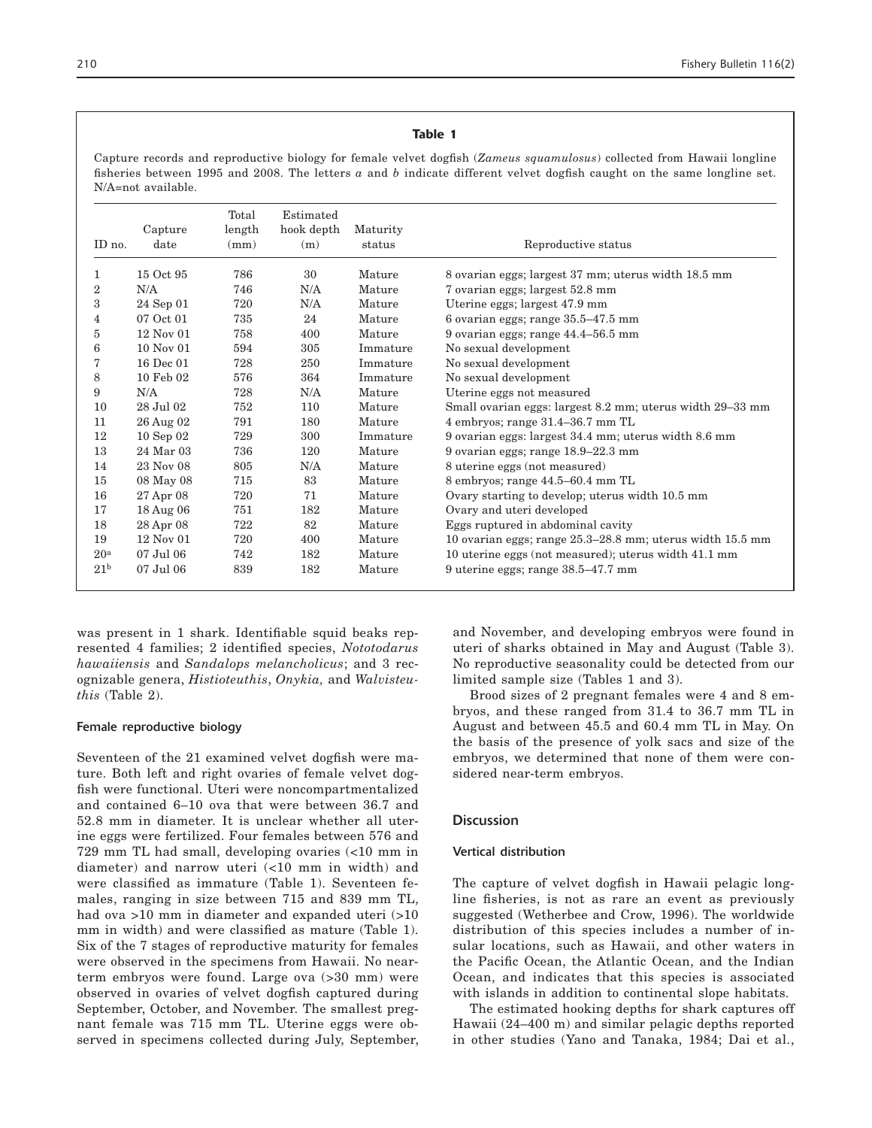#### Table 1

Capture records and reproductive biology for female velvet dogfish (*Zameus squamulosus*) collected from Hawaii longline fisheries between 1995 and 2008. The letters *a* and *b* indicate different velvet dogfish caught on the same longline set. N/A=not available.

|                 |               | Total  | Estimated  |          |                                                           |
|-----------------|---------------|--------|------------|----------|-----------------------------------------------------------|
|                 | Capture       | length | hook depth | Maturity |                                                           |
| ID no.          | date          | (mm)   | (m)        | status   | Reproductive status                                       |
| 1               | 15 Oct 95     | 786    | 30         | Mature   | 8 ovarian eggs; largest 37 mm; uterus width 18.5 mm       |
| $\overline{2}$  | N/A           | 746    | N/A        | Mature   | 7 ovarian eggs; largest 52.8 mm                           |
| 3               | 24 Sep 01     | 720    | N/A        | Mature   | Uterine eggs; largest 47.9 mm                             |
| 4               | 07 Oct 01     | 735    | 24         | Mature   | 6 ovarian eggs; range 35.5-47.5 mm                        |
| 5               | 12 Nov 01     | 758    | 400        | Mature   | 9 ovarian eggs; range 44.4-56.5 mm                        |
| 6               | $10$ Nov $01$ | 594    | 305        | Immature | No sexual development                                     |
| 7               | 16 Dec 01     | 728    | 250        | Immature | No sexual development                                     |
| 8               | 10 Feb 02     | 576    | 364        | Immature | No sexual development                                     |
| 9               | N/A           | 728    | N/A        | Mature   | Uterine eggs not measured                                 |
| 10              | 28 Jul 02     | 752    | 110        | Mature   | Small ovarian eggs: largest 8.2 mm; uterus width 29-33 mm |
| 11              | 26 Aug 02     | 791    | 180        | Mature   | 4 embryos; range 31.4-36.7 mm TL                          |
| 12              | $10$ Sep $02$ | 729    | 300        | Immature | 9 ovarian eggs: largest 34.4 mm; uterus width 8.6 mm      |
| 13              | 24 Mar 03     | 736    | 120        | Mature   | 9 ovarian eggs; range 18.9-22.3 mm                        |
| 14              | 23 Nov 08     | 805    | N/A        | Mature   | 8 uterine eggs (not measured)                             |
| 15              | 08 May 08     | 715    | 83         | Mature   | 8 embryos; range 44.5–60.4 mm TL                          |
| 16              | 27 Apr 08     | 720    | 71         | Mature   | Ovary starting to develop; uterus width 10.5 mm           |
| 17              | 18 Aug 06     | 751    | 182        | Mature   | Ovary and uteri developed                                 |
| 18              | 28 Apr 08     | 722    | 82         | Mature   | Eggs ruptured in abdominal cavity                         |
| 19              | 12 Nov 01     | 720    | 400        | Mature   | 10 ovarian eggs; range 25.3–28.8 mm; uterus width 15.5 mm |
| 20 <sup>a</sup> | 07 Jul 06     | 742    | 182        | Mature   | 10 uterine eggs (not measured); uterus width 41.1 mm      |
| 21 <sup>b</sup> | 07 Jul 06     | 839    | 182        | Mature   | 9 uterine eggs; range 38.5–47.7 mm                        |

was present in 1 shark. Identifiable squid beaks represented 4 families; 2 identified species, *Nototodarus hawaiiensis* and *Sandalops melancholicus*; and 3 recognizable genera, *Histioteuthis*, *Onykia,* and *Walvisteuthis* (Table 2).

## Female reproductive biology

Seventeen of the 21 examined velvet dogfish were mature. Both left and right ovaries of female velvet dogfish were functional. Uteri were noncompartmentalized and contained 6–10 ova that were between 36.7 and 52.8 mm in diameter. It is unclear whether all uterine eggs were fertilized. Four females between 576 and 729 mm TL had small, developing ovaries (<10 mm in diameter) and narrow uteri (<10 mm in width) and were classified as immature (Table 1). Seventeen females, ranging in size between 715 and 839 mm TL, had ova >10 mm in diameter and expanded uteri (>10 mm in width) and were classified as mature (Table 1). Six of the 7 stages of reproductive maturity for females were observed in the specimens from Hawaii. No nearterm embryos were found. Large ova (>30 mm) were observed in ovaries of velvet dogfish captured during September, October, and November. The smallest pregnant female was 715 mm TL. Uterine eggs were observed in specimens collected during July, September, and November, and developing embryos were found in uteri of sharks obtained in May and August (Table 3). No reproductive seasonality could be detected from our limited sample size (Tables 1 and 3).

Brood sizes of 2 pregnant females were 4 and 8 embryos, and these ranged from 31.4 to 36.7 mm TL in August and between 45.5 and 60.4 mm TL in May. On the basis of the presence of yolk sacs and size of the embryos, we determined that none of them were considered near-term embryos.

### **Discussion**

#### Vertical distribution

The capture of velvet dogfish in Hawaii pelagic longline fisheries, is not as rare an event as previously suggested (Wetherbee and Crow, 1996). The worldwide distribution of this species includes a number of insular locations, such as Hawaii, and other waters in the Pacific Ocean, the Atlantic Ocean, and the Indian Ocean, and indicates that this species is associated with islands in addition to continental slope habitats.

The estimated hooking depths for shark captures off Hawaii (24–400 m) and similar pelagic depths reported in other studies (Yano and Tanaka, 1984; Dai et al.,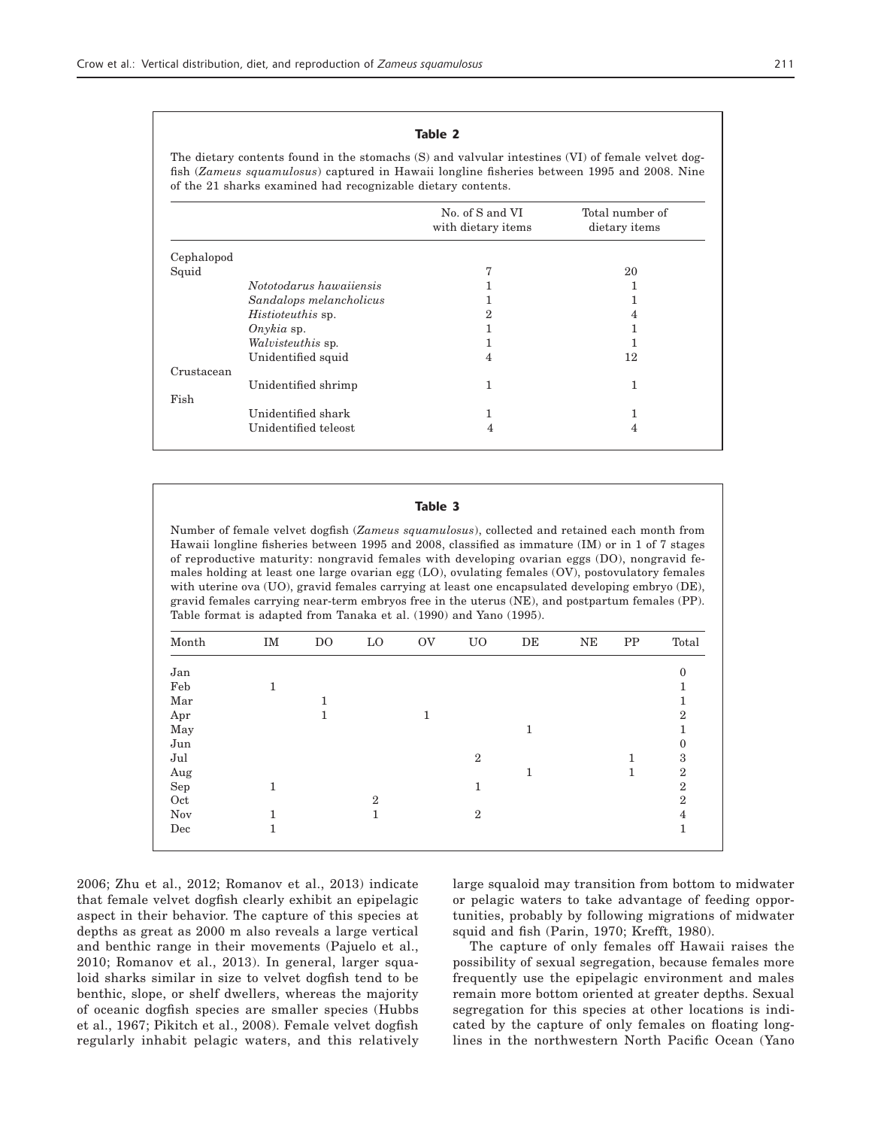## Table 2

The dietary contents found in the stomachs (S) and valvular intestines (VI) of female velvet dogfish (*Zameus squamulosus*) captured in Hawaii longline fisheries between 1995 and 2008. Nine of the 21 sharks examined had recognizable dietary contents.

|            |                          | No. of S and VI<br>with dietary items | Total number of<br>dietary items |
|------------|--------------------------|---------------------------------------|----------------------------------|
| Cephalopod |                          |                                       |                                  |
| Squid      |                          | 7                                     | 20                               |
|            | Nototodarus hawaiiensis  |                                       |                                  |
|            | Sandalops melancholicus  |                                       |                                  |
|            | <i>Histioteuthis</i> sp. | $\overline{2}$                        | 4                                |
|            | $Onykia$ sp.             |                                       |                                  |
|            | Walvisteuthis sp.        |                                       |                                  |
|            | Unidentified squid       | 4                                     | 12                               |
| Crustacean |                          |                                       |                                  |
|            | Unidentified shrimp      | 1                                     | 1                                |
| Fish       |                          |                                       |                                  |
|            | Unidentified shark       | 1                                     |                                  |
|            | Unidentified teleost     | 4                                     | 4                                |
|            |                          |                                       |                                  |

#### Table 3

Number of female velvet dogfish (*Zameus squamulosus*), collected and retained each month from Hawaii longline fisheries between 1995 and 2008, classified as immature (IM) or in 1 of 7 stages of reproductive maturity: nongravid females with developing ovarian eggs (DO), nongravid females holding at least one large ovarian egg (LO), ovulating females (OV), postovulatory females with uterine ova (UO), gravid females carrying at least one encapsulated developing embryo (DE), gravid females carrying near-term embryos free in the uterus (NE), and postpartum females (PP). Table format is adapted from Tanaka et al. (1990) and Yano (1995).

| Month                | IM | D <sub>O</sub> | $\rm LO$     | <b>OV</b> | U <sub>O</sub> | $\rm{DE}$ | NE | PP | Total        |
|----------------------|----|----------------|--------------|-----------|----------------|-----------|----|----|--------------|
| Jan                  |    |                |              |           |                |           |    |    | $\theta$     |
| Feb                  | 1  |                |              |           |                |           |    |    |              |
| $\operatorname{Mar}$ |    |                |              |           |                |           |    |    |              |
| Apr                  |    | 1              |              | 1         |                |           |    |    | $\mathbf{2}$ |
| May                  |    |                |              |           |                | 1         |    |    |              |
| Jun                  |    |                |              |           |                |           |    |    | 0            |
| Jul                  |    |                |              |           | $\overline{2}$ |           |    | 1  | 3            |
| Aug                  |    |                |              |           |                | 1         |    | 1  | $\mathbf{2}$ |
| Sep                  | 1  |                |              |           | 1              |           |    |    | $\mathbf{2}$ |
| $\hbox{Oct}$         |    |                | $\mathbf{2}$ |           |                |           |    |    | $\mathbf{2}$ |
| Nov                  | 1  |                | 1            |           | $\overline{2}$ |           |    |    | 4            |
| Dec                  | 1  |                |              |           |                |           |    |    |              |
|                      |    |                |              |           |                |           |    |    |              |

2006; Zhu et al., 2012; Romanov et al., 2013) indicate that female velvet dogfish clearly exhibit an epipelagic aspect in their behavior. The capture of this species at depths as great as 2000 m also reveals a large vertical and benthic range in their movements (Pajuelo et al., 2010; Romanov et al., 2013). In general, larger squaloid sharks similar in size to velvet dogfish tend to be benthic, slope, or shelf dwellers, whereas the majority of oceanic dogfish species are smaller species (Hubbs et al., 1967; Pikitch et al., 2008). Female velvet dogfish regularly inhabit pelagic waters, and this relatively large squaloid may transition from bottom to midwater or pelagic waters to take advantage of feeding opportunities, probably by following migrations of midwater squid and fish (Parin, 1970; Krefft, 1980).

The capture of only females off Hawaii raises the possibility of sexual segregation, because females more frequently use the epipelagic environment and males remain more bottom oriented at greater depths. Sexual segregation for this species at other locations is indicated by the capture of only females on floating longlines in the northwestern North Pacific Ocean (Yano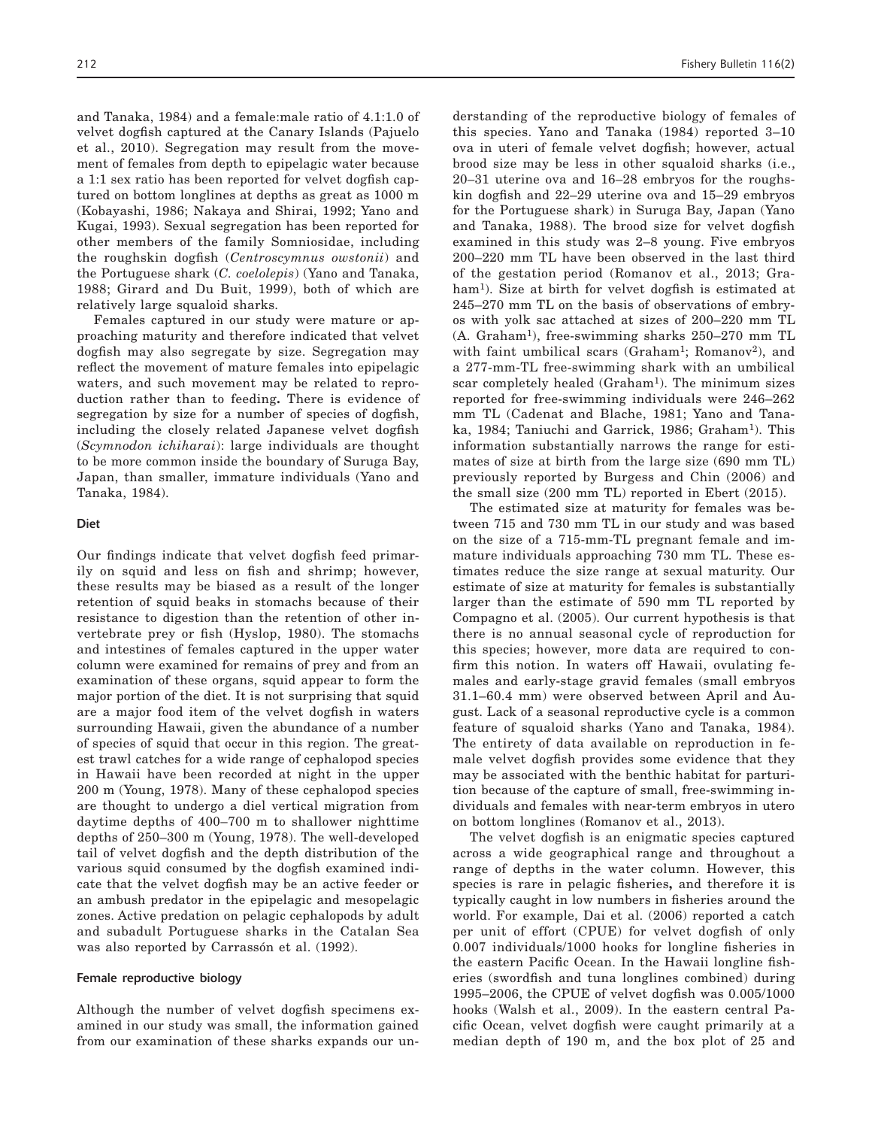and Tanaka, 1984) and a female:male ratio of 4.1:1.0 of velvet dogfish captured at the Canary Islands (Pajuelo et al., 2010). Segregation may result from the movement of females from depth to epipelagic water because a 1:1 sex ratio has been reported for velvet dogfish captured on bottom longlines at depths as great as 1000 m (Kobayashi, 1986; Nakaya and Shirai, 1992; Yano and Kugai, 1993). Sexual segregation has been reported for other members of the family Somniosidae, including the roughskin dogfish (*Centroscymnus owstonii*) and the Portuguese shark (*C. coelolepis*) (Yano and Tanaka, 1988; Girard and Du Buit, 1999), both of which are relatively large squaloid sharks.

Females captured in our study were mature or approaching maturity and therefore indicated that velvet dogfish may also segregate by size. Segregation may reflect the movement of mature females into epipelagic waters, and such movement may be related to reproduction rather than to feeding**.** There is evidence of segregation by size for a number of species of dogfish, including the closely related Japanese velvet dogfish (*Scymnodon ichiharai*): large individuals are thought to be more common inside the boundary of Suruga Bay, Japan, than smaller, immature individuals (Yano and Tanaka, 1984).

#### Diet

Our findings indicate that velvet dogfish feed primarily on squid and less on fish and shrimp; however, these results may be biased as a result of the longer retention of squid beaks in stomachs because of their resistance to digestion than the retention of other invertebrate prey or fish (Hyslop, 1980). The stomachs and intestines of females captured in the upper water column were examined for remains of prey and from an examination of these organs, squid appear to form the major portion of the diet. It is not surprising that squid are a major food item of the velvet dogfish in waters surrounding Hawaii, given the abundance of a number of species of squid that occur in this region. The greatest trawl catches for a wide range of cephalopod species in Hawaii have been recorded at night in the upper 200 m (Young, 1978). Many of these cephalopod species are thought to undergo a diel vertical migration from daytime depths of 400–700 m to shallower nighttime depths of 250–300 m (Young, 1978). The well-developed tail of velvet dogfish and the depth distribution of the various squid consumed by the dogfish examined indicate that the velvet dogfish may be an active feeder or an ambush predator in the epipelagic and mesopelagic zones. Active predation on pelagic cephalopods by adult and subadult Portuguese sharks in the Catalan Sea was also reported by Carrassón et al. (1992).

#### Female reproductive biology

Although the number of velvet dogfish specimens examined in our study was small, the information gained from our examination of these sharks expands our un-

derstanding of the reproductive biology of females of this species. Yano and Tanaka (1984) reported 3–10 ova in uteri of female velvet dogfish; however, actual brood size may be less in other squaloid sharks (i.e., 20–31 uterine ova and 16–28 embryos for the roughskin dogfish and 22–29 uterine ova and 15–29 embryos for the Portuguese shark) in Suruga Bay, Japan (Yano and Tanaka, 1988). The brood size for velvet dogfish examined in this study was 2–8 young. Five embryos 200–220 mm TL have been observed in the last third of the gestation period (Romanov et al., 2013; Graham<sup>1</sup>). Size at birth for velvet dogfish is estimated at 245–270 mm TL on the basis of observations of embryos with yolk sac attached at sizes of 200–220 mm TL (A. Graham1), free-swimming sharks 250–270 mm TL with faint umbilical scars (Graham<sup>1</sup>; Romanov<sup>2</sup>), and a 277-mm-TL free-swimming shark with an umbilical scar completely healed (Graham<sup>1</sup>). The minimum sizes reported for free-swimming individuals were 246–262 mm TL (Cadenat and Blache, 1981; Yano and Tanaka, 1984; Taniuchi and Garrick, 1986; Graham1). This information substantially narrows the range for estimates of size at birth from the large size (690 mm TL) previously reported by Burgess and Chin (2006) and the small size (200 mm TL) reported in Ebert (2015).

The estimated size at maturity for females was between 715 and 730 mm TL in our study and was based on the size of a 715-mm-TL pregnant female and immature individuals approaching 730 mm TL. These estimates reduce the size range at sexual maturity. Our estimate of size at maturity for females is substantially larger than the estimate of 590 mm TL reported by Compagno et al. (2005). Our current hypothesis is that there is no annual seasonal cycle of reproduction for this species; however, more data are required to confirm this notion. In waters off Hawaii, ovulating females and early-stage gravid females (small embryos 31.1–60.4 mm) were observed between April and August. Lack of a seasonal reproductive cycle is a common feature of squaloid sharks (Yano and Tanaka, 1984). The entirety of data available on reproduction in female velvet dogfish provides some evidence that they may be associated with the benthic habitat for parturition because of the capture of small, free-swimming individuals and females with near-term embryos in utero on bottom longlines (Romanov et al., 2013).

The velvet dogfish is an enigmatic species captured across a wide geographical range and throughout a range of depths in the water column. However, this species is rare in pelagic fisheries**,** and therefore it is typically caught in low numbers in fisheries around the world. For example, Dai et al. (2006) reported a catch per unit of effort (CPUE) for velvet dogfish of only 0.007 individuals/1000 hooks for longline fisheries in the eastern Pacific Ocean. In the Hawaii longline fisheries (swordfish and tuna longlines combined) during 1995–2006, the CPUE of velvet dogfish was 0.005/1000 hooks (Walsh et al., 2009). In the eastern central Pacific Ocean, velvet dogfish were caught primarily at a median depth of 190 m, and the box plot of 25 and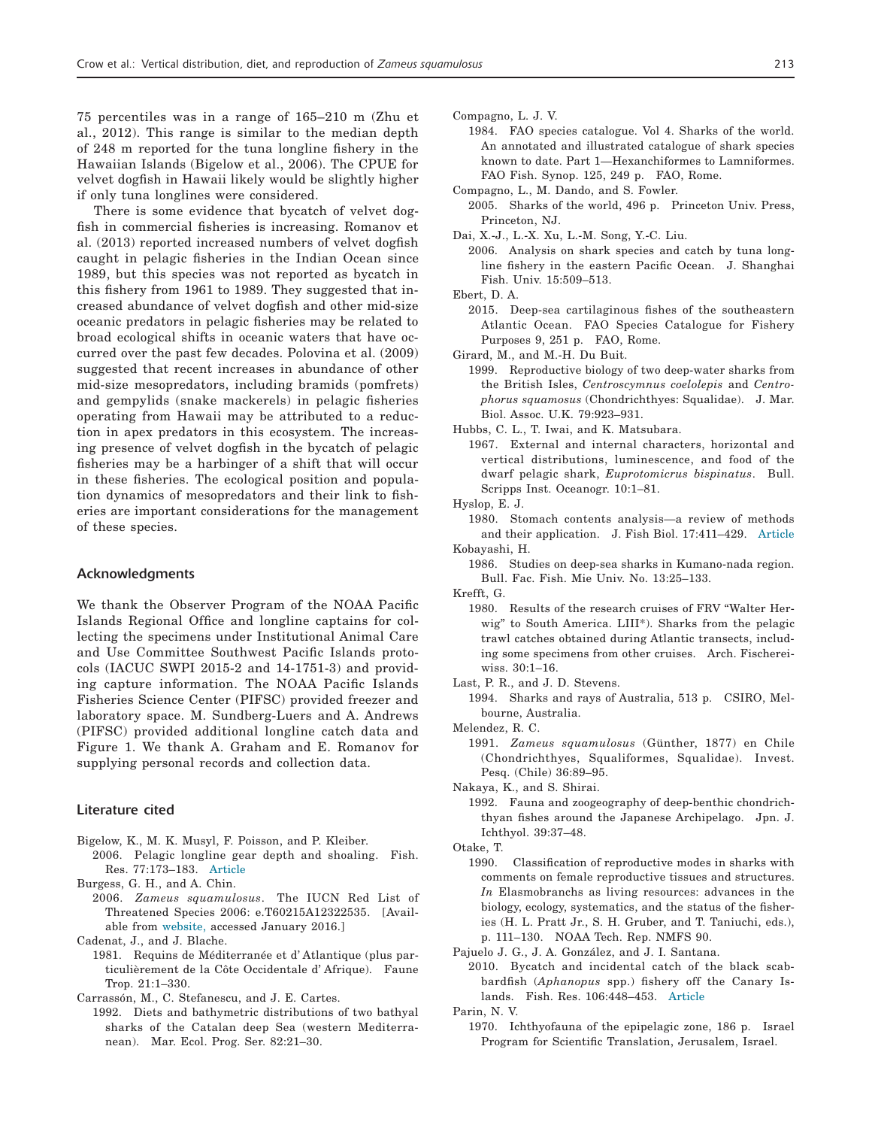75 percentiles was in a range of 165–210 m (Zhu et al., 2012). This range is similar to the median depth of 248 m reported for the tuna longline fishery in the Hawaiian Islands (Bigelow et al., 2006). The CPUE for velvet dogfish in Hawaii likely would be slightly higher if only tuna longlines were considered.

There is some evidence that bycatch of velvet dogfish in commercial fisheries is increasing. Romanov et al. (2013) reported increased numbers of velvet dogfish caught in pelagic fisheries in the Indian Ocean since 1989, but this species was not reported as bycatch in this fishery from 1961 to 1989. They suggested that increased abundance of velvet dogfish and other mid-size oceanic predators in pelagic fisheries may be related to broad ecological shifts in oceanic waters that have occurred over the past few decades. Polovina et al. (2009) suggested that recent increases in abundance of other mid-size mesopredators, including bramids (pomfrets) and gempylids (snake mackerels) in pelagic fisheries operating from Hawaii may be attributed to a reduction in apex predators in this ecosystem. The increasing presence of velvet dogfish in the bycatch of pelagic fisheries may be a harbinger of a shift that will occur in these fisheries. The ecological position and population dynamics of mesopredators and their link to fisheries are important considerations for the management of these species.

#### Acknowledgments

We thank the Observer Program of the NOAA Pacific Islands Regional Office and longline captains for collecting the specimens under Institutional Animal Care and Use Committee Southwest Pacific Islands protocols (IACUC SWPI 2015-2 and 14-1751-3) and providing capture information. The NOAA Pacific Islands Fisheries Science Center (PIFSC) provided freezer and laboratory space. M. Sundberg-Luers and A. Andrews (PIFSC) provided additional longline catch data and Figure 1. We thank A. Graham and E. Romanov for supplying personal records and collection data.

#### Literature cited

- Bigelow, K., M. K. Musyl, F. Poisson, and P. Kleiber. 2006. Pelagic longline gear depth and shoaling. Fish. Res. 77:173–183. [Article](https://doi.org/10.1016/j.fishres.2005.10.010)
- Burgess, G. H., and A. Chin.
	- 2006. *Zameus squamulosus*. The IUCN Red List of Threatened Species 2006: e.T60215A12322535. [Available from [website](https://doi.org/10.2305/IUCN.UK.2006.RLTS.T60215A12322535.en), accessed January 2016.]

Cadenat, J., and J. Blache.

1981. Requins de Méditerranée et d' Atlantique (plus particulièrement de la Côte Occidentale d' Afrique). Faune Trop. 21:1–330.

Carrassón, M., C. Stefanescu, and J. E. Cartes.

1992. Diets and bathymetric distributions of two bathyal sharks of the Catalan deep Sea (western Mediterranean). Mar. Ecol. Prog. Ser. 82:21–30.

Compagno, L. J. V.

1984. FAO species catalogue. Vol 4. Sharks of the world. An annotated and illustrated catalogue of shark species known to date. Part 1—Hexanchiformes to Lamniformes. FAO Fish. Synop. 125, 249 p. FAO, Rome.

Compagno, L., M. Dando, and S. Fowler.

- 2005. Sharks of the world, 496 p. Princeton Univ. Press, Princeton, NJ.
- Dai, X.-J., L.-X. Xu, L.-M. Song, Y.-C. Liu.
	- 2006. Analysis on shark species and catch by tuna longline fishery in the eastern Pacific Ocean. J. Shanghai Fish. Univ. 15:509–513.

2015. Deep-sea cartilaginous fishes of the southeastern Atlantic Ocean. FAO Species Catalogue for Fishery Purposes 9, 251 p. FAO, Rome.

Girard, M., and M.-H. Du Buit.

1999. Reproductive biology of two deep-water sharks from the British Isles, *Centroscymnus coelolepis* and *Centrophorus squamosus* (Chondrichthyes: Squalidae). J. Mar. Biol. Assoc. U.K. 79:923–931.

Hubbs, C. L., T. Iwai, and K. Matsubara.

1967. External and internal characters, horizontal and vertical distributions, luminescence, and food of the dwarf pelagic shark, *Euprotomicrus bispinatus*. Bull. Scripps Inst. Oceanogr. 10:1–81.

Hyslop, E. J.

1980. Stomach contents analysis—a review of methods and their application. J. Fish Biol. 17:411–429. [Article](https://doi.org/10.1111/j.1095-8649.1980.tb02775.x) Kobayashi, H.

1986. Studies on deep-sea sharks in Kumano-nada region. Bull. Fac. Fish. Mie Univ. No. 13:25–133.

Krefft, G.

- 1980. Results of the research cruises of FRV "Walter Herwig" to South America. LIII\*). Sharks from the pelagic trawl catches obtained during Atlantic transects, including some specimens from other cruises. Arch. Fischereiwiss. 30:1–16.
- Last, P. R., and J. D. Stevens.
	- 1994. Sharks and rays of Australia, 513 p. CSIRO, Melbourne, Australia.
- Melendez, R. C.
	- 1991. *Zameus squamulosus* (Günther, 1877) en Chile (Chondrichthyes, Squaliformes, Squalidae). Invest. Pesq. (Chile) 36:89–95.

Nakaya, K., and S. Shirai.

- 1992. Fauna and zoogeography of deep-benthic chondrichthyan fishes around the Japanese Archipelago. Jpn. J. Ichthyol. 39:37–48.
- Otake, T.
	- 1990. Classification of reproductive modes in sharks with comments on female reproductive tissues and structures. *In* Elasmobranchs as living resources: advances in the biology, ecology, systematics, and the status of the fisheries (H. L. Pratt Jr., S. H. Gruber, and T. Taniuchi, eds.), p. 111–130. NOAA Tech. Rep. NMFS 90.

Pajuelo J. G., J. A. González, and J. I. Santana.

2010. Bycatch and incidental catch of the black scabbardfish (*Aphanopus* spp.) fishery off the Canary Islands. Fish. Res. 106:448–453. [Article](https://doi.org/10.1016/j.fishres.2010.09.019)

Parin, N. V.

1970. Ichthyofauna of the epipelagic zone, 186 p. Israel Program for Scientific Translation, Jerusalem, Israel.

Ebert, D. A.